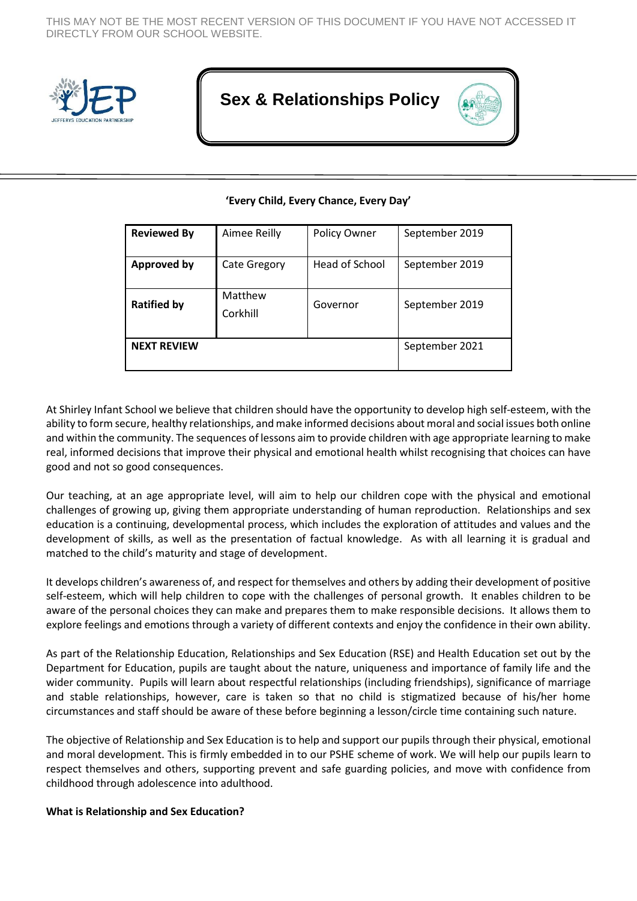THIS MAY NOT BE THE MOST RECENT VERSION OF THIS DOCUMENT IF YOU HAVE NOT ACCESSED IT DIRECTLY FROM OUR SCHOOL WEBSITE.



# **Sex & Relationships Policy**



## **'Every Child, Every Chance, Every Day'**

| <b>Reviewed By</b> | Aimee Reilly        | Policy Owner   | September 2019 |
|--------------------|---------------------|----------------|----------------|
| <b>Approved by</b> | <b>Cate Gregory</b> | Head of School | September 2019 |
| <b>Ratified by</b> | Matthew<br>Corkhill | Governor       | September 2019 |
| <b>NEXT REVIEW</b> |                     |                | September 2021 |

At Shirley Infant School we believe that children should have the opportunity to develop high self-esteem, with the ability to form secure, healthy relationships, and make informed decisions about moral and social issues both online and within the community. The sequences of lessons aim to provide children with age appropriate learning to make real, informed decisions that improve their physical and emotional health whilst recognising that choices can have good and not so good consequences.

Our teaching, at an age appropriate level, will aim to help our children cope with the physical and emotional challenges of growing up, giving them appropriate understanding of human reproduction. Relationships and sex education is a continuing, developmental process, which includes the exploration of attitudes and values and the development of skills, as well as the presentation of factual knowledge. As with all learning it is gradual and matched to the child's maturity and stage of development.

It develops children's awareness of, and respect for themselves and others by adding their development of positive self-esteem, which will help children to cope with the challenges of personal growth. It enables children to be aware of the personal choices they can make and prepares them to make responsible decisions. It allows them to explore feelings and emotions through a variety of different contexts and enjoy the confidence in their own ability.

As part of the Relationship Education, Relationships and Sex Education (RSE) and Health Education set out by the Department for Education, pupils are taught about the nature, uniqueness and importance of family life and the wider community. Pupils will learn about respectful relationships (including friendships), significance of marriage and stable relationships, however, care is taken so that no child is stigmatized because of his/her home circumstances and staff should be aware of these before beginning a lesson/circle time containing such nature.

The objective of Relationship and Sex Education is to help and support our pupils through their physical, emotional and moral development. This is firmly embedded in to our PSHE scheme of work. We will help our pupils learn to respect themselves and others, supporting prevent and safe guarding policies, and move with confidence from childhood through adolescence into adulthood.

#### **What is Relationship and Sex Education?**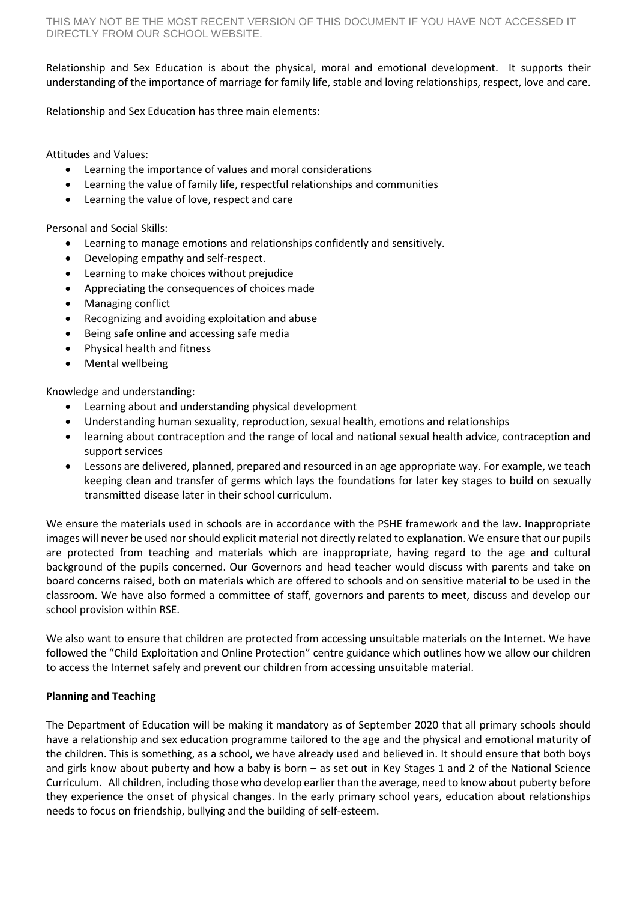Relationship and Sex Education is about the physical, moral and emotional development. It supports their understanding of the importance of marriage for family life, stable and loving relationships, respect, love and care.

Relationship and Sex Education has three main elements:

Attitudes and Values:

- Learning the importance of values and moral considerations
- Learning the value of family life, respectful relationships and communities
- Learning the value of love, respect and care

Personal and Social Skills:

- Learning to manage emotions and relationships confidently and sensitively.
- Developing empathy and self-respect.
- Learning to make choices without prejudice
- Appreciating the consequences of choices made
- Managing conflict
- Recognizing and avoiding exploitation and abuse
- Being safe online and accessing safe media
- Physical health and fitness
- Mental wellbeing

Knowledge and understanding:

- Learning about and understanding physical development
- Understanding human sexuality, reproduction, sexual health, emotions and relationships
- learning about contraception and the range of local and national sexual health advice, contraception and support services
- Lessons are delivered, planned, prepared and resourced in an age appropriate way. For example, we teach keeping clean and transfer of germs which lays the foundations for later key stages to build on sexually transmitted disease later in their school curriculum.

We ensure the materials used in schools are in accordance with the PSHE framework and the law. Inappropriate images will never be used nor should explicit material not directly related to explanation. We ensure that our pupils are protected from teaching and materials which are inappropriate, having regard to the age and cultural background of the pupils concerned. Our Governors and head teacher would discuss with parents and take on board concerns raised, both on materials which are offered to schools and on sensitive material to be used in the classroom. We have also formed a committee of staff, governors and parents to meet, discuss and develop our school provision within RSE.

We also want to ensure that children are protected from accessing unsuitable materials on the Internet. We have followed the "Child Exploitation and Online Protection" centre guidance which outlines how we allow our children to access the Internet safely and prevent our children from accessing unsuitable material.

#### **Planning and Teaching**

The Department of Education will be making it mandatory as of September 2020 that all primary schools should have a relationship and sex education programme tailored to the age and the physical and emotional maturity of the children. This is something, as a school, we have already used and believed in. It should ensure that both boys and girls know about puberty and how a baby is born – as set out in Key Stages 1 and 2 of the National Science Curriculum. All children, including those who develop earlier than the average, need to know about puberty before they experience the onset of physical changes. In the early primary school years, education about relationships needs to focus on friendship, bullying and the building of self-esteem.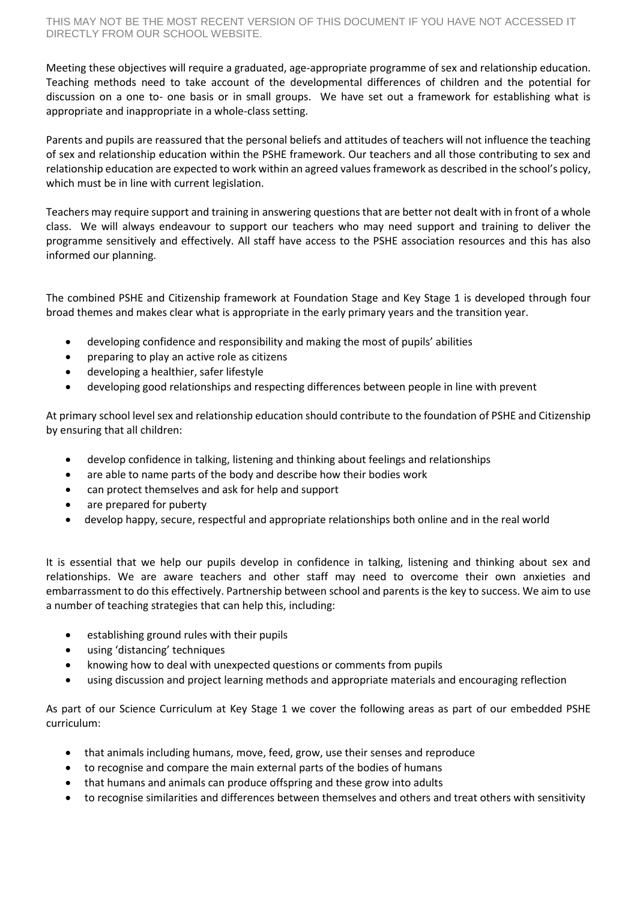Meeting these objectives will require a graduated, age-appropriate programme of sex and relationship education. Teaching methods need to take account of the developmental differences of children and the potential for discussion on a one to- one basis or in small groups. We have set out a framework for establishing what is appropriate and inappropriate in a whole-class setting.

Parents and pupils are reassured that the personal beliefs and attitudes of teachers will not influence the teaching of sex and relationship education within the PSHE framework. Our teachers and all those contributing to sex and relationship education are expected to work within an agreed values framework as described in the school's policy, which must be in line with current legislation.

Teachers may require support and training in answering questions that are better not dealt with in front of a whole class. We will always endeavour to support our teachers who may need support and training to deliver the programme sensitively and effectively. All staff have access to the PSHE association resources and this has also informed our planning.

The combined PSHE and Citizenship framework at Foundation Stage and Key Stage 1 is developed through four broad themes and makes clear what is appropriate in the early primary years and the transition year.

- developing confidence and responsibility and making the most of pupils' abilities
- preparing to play an active role as citizens
- developing a healthier, safer lifestyle
- developing good relationships and respecting differences between people in line with prevent

At primary school level sex and relationship education should contribute to the foundation of PSHE and Citizenship by ensuring that all children:

- develop confidence in talking, listening and thinking about feelings and relationships
- are able to name parts of the body and describe how their bodies work
- can protect themselves and ask for help and support
- are prepared for puberty
- develop happy, secure, respectful and appropriate relationships both online and in the real world

It is essential that we help our pupils develop in confidence in talking, listening and thinking about sex and relationships. We are aware teachers and other staff may need to overcome their own anxieties and embarrassment to do this effectively. Partnership between school and parents is the key to success. We aim to use a number of teaching strategies that can help this, including:

- establishing ground rules with their pupils
- using 'distancing' techniques
- knowing how to deal with unexpected questions or comments from pupils
- using discussion and project learning methods and appropriate materials and encouraging reflection

As part of our Science Curriculum at Key Stage 1 we cover the following areas as part of our embedded PSHE curriculum:

- that animals including humans, move, feed, grow, use their senses and reproduce
- to recognise and compare the main external parts of the bodies of humans
- that humans and animals can produce offspring and these grow into adults
- to recognise similarities and differences between themselves and others and treat others with sensitivity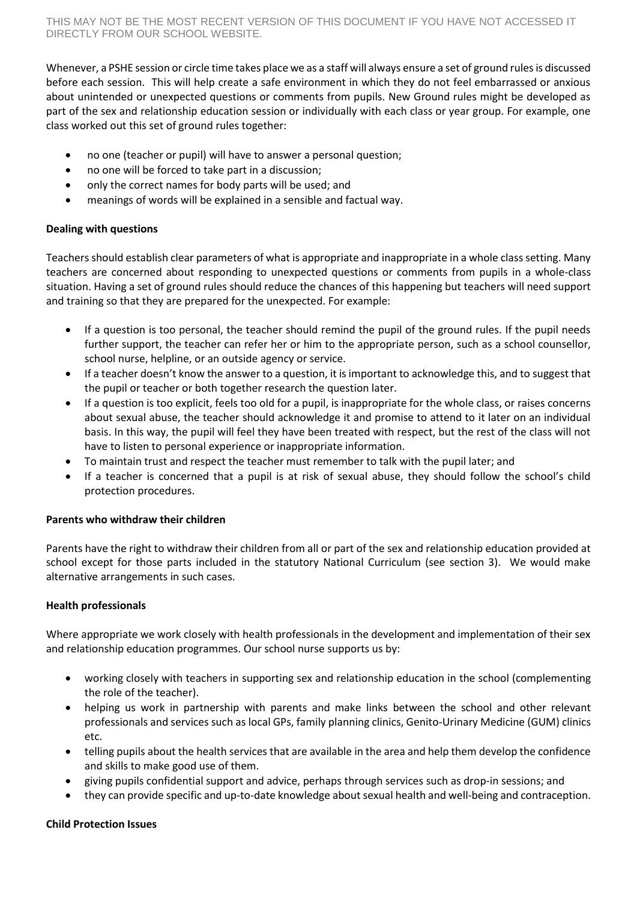Whenever, a PSHE session or circle time takes place we as a staff will always ensure a set of ground rules is discussed before each session. This will help create a safe environment in which they do not feel embarrassed or anxious about unintended or unexpected questions or comments from pupils. New Ground rules might be developed as part of the sex and relationship education session or individually with each class or year group. For example, one class worked out this set of ground rules together:

- no one (teacher or pupil) will have to answer a personal question;
- no one will be forced to take part in a discussion;
- only the correct names for body parts will be used; and
- meanings of words will be explained in a sensible and factual way.

# **Dealing with questions**

Teachers should establish clear parameters of what is appropriate and inappropriate in a whole class setting. Many teachers are concerned about responding to unexpected questions or comments from pupils in a whole-class situation. Having a set of ground rules should reduce the chances of this happening but teachers will need support and training so that they are prepared for the unexpected. For example:

- If a question is too personal, the teacher should remind the pupil of the ground rules. If the pupil needs further support, the teacher can refer her or him to the appropriate person, such as a school counsellor, school nurse, helpline, or an outside agency or service.
- If a teacher doesn't know the answer to a question, it is important to acknowledge this, and to suggest that the pupil or teacher or both together research the question later.
- If a question is too explicit, feels too old for a pupil, is inappropriate for the whole class, or raises concerns about sexual abuse, the teacher should acknowledge it and promise to attend to it later on an individual basis. In this way, the pupil will feel they have been treated with respect, but the rest of the class will not have to listen to personal experience or inappropriate information.
- To maintain trust and respect the teacher must remember to talk with the pupil later; and
- If a teacher is concerned that a pupil is at risk of sexual abuse, they should follow the school's child protection procedures.

# **Parents who withdraw their children**

Parents have the right to withdraw their children from all or part of the sex and relationship education provided at school except for those parts included in the statutory National Curriculum (see section 3). We would make alternative arrangements in such cases.

#### **Health professionals**

Where appropriate we work closely with health professionals in the development and implementation of their sex and relationship education programmes. Our school nurse supports us by:

- working closely with teachers in supporting sex and relationship education in the school (complementing the role of the teacher).
- helping us work in partnership with parents and make links between the school and other relevant professionals and services such as local GPs, family planning clinics, Genito-Urinary Medicine (GUM) clinics etc.
- telling pupils about the health services that are available in the area and help them develop the confidence and skills to make good use of them.
- giving pupils confidential support and advice, perhaps through services such as drop-in sessions; and
- they can provide specific and up-to-date knowledge about sexual health and well-being and contraception.

### **Child Protection Issues**